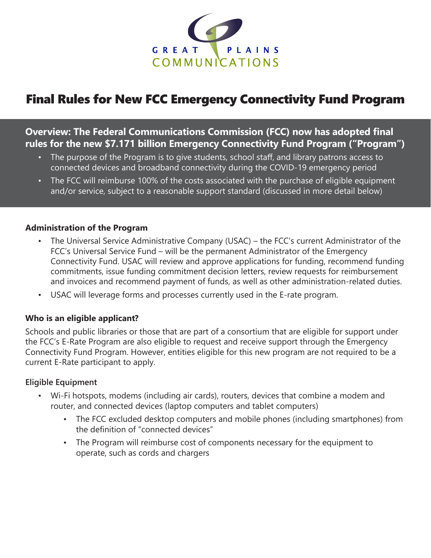

# Final Rules for New FCC Emergency Connectivity Fund Program

# **Overview: The Federal Communications Commission (FCC) now has adopted final rules for the new \$7.171 billion Emergency Connectivity Fund Program ("Program")**

- The purpose of the Program is to give students, school staff, and library patrons access to connected devices and broadband connectivity during the COVID-19 emergency period
- The FCC will reimburse 100% of the costs associated with the purchase of eligible equipment and/or service, subject to a reasonable support standard (discussed in more detail below)

#### **Administration of the Program**

- The Universal Service Administrative Company (USAC) the FCC's current Administrator of the FCC's Universal Service Fund – will be the permanent Administrator of the Emergency Connectivity Fund. USAC will review and approve applications for funding, recommend funding commitments, issue funding commitment decision letters, review requests for reimbursement and invoices and recommend payment of funds, as well as other administration-related duties.
- USAC will leverage forms and processes currently used in the E-rate program.

## **Who is an eligible applicant?**

Schools and public libraries or those that are part of a consortium that are eligible for support under the FCC's E-Rate Program are also eligible to request and receive support through the Emergency Connectivity Fund Program. However, entities eligible for this new program are not required to be a current E-Rate participant to apply.

## **Eligible Equipment**

- Wi-Fi hotspots, modems (including air cards), routers, devices that combine a modem and router, and connected devices (laptop computers and tablet computers)
	- The FCC excluded desktop computers and mobile phones (including smartphones) from the definition of "connected devices"
	- The Program will reimburse cost of components necessary for the equipment to operate, such as cords and chargers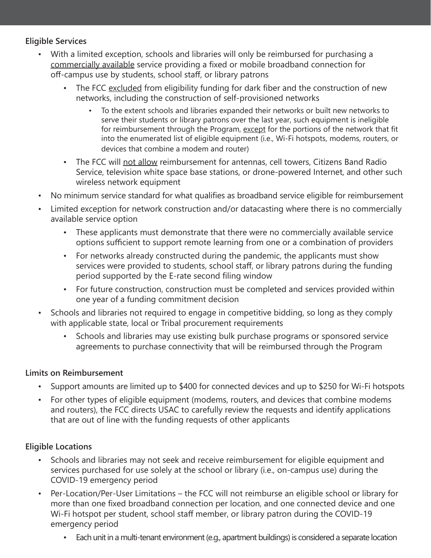## **Eligible Services**

- With a limited exception, schools and libraries will only be reimbursed for purchasing a commercially available service providing a fixed or mobile broadband connection for off-campus use by students, school staff, or library patrons
	- The FCC excluded from eligibility funding for dark fiber and the construction of new networks, including the construction of self-provisioned networks
		- To the extent schools and libraries expanded their networks or built new networks to serve their students or library patrons over the last year, such equipment is ineligible for reimbursement through the Program, except for the portions of the network that fit into the enumerated list of eligible equipment (i.e., Wi-Fi hotspots, modems, routers, or devices that combine a modem and router)
	- The FCC will not allow reimbursement for antennas, cell towers, Citizens Band Radio Service, television white space base stations, or drone-powered Internet, and other such wireless network equipment
- No minimum service standard for what qualifies as broadband service eligible for reimbursement
- Limited exception for network construction and/or datacasting where there is no commercially available service option
	- These applicants must demonstrate that there were no commercially available service options sufficient to support remote learning from one or a combination of providers
	- For networks already constructed during the pandemic, the applicants must show services were provided to students, school staff, or library patrons during the funding period supported by the E-rate second filing window
	- For future construction, construction must be completed and services provided within one year of a funding commitment decision
- Schools and libraries not required to engage in competitive bidding, so long as they comply with applicable state, local or Tribal procurement requirements
	- Schools and libraries may use existing bulk purchase programs or sponsored service agreements to purchase connectivity that will be reimbursed through the Program

## **Limits on Reimbursement**

- Support amounts are limited up to \$400 for connected devices and up to \$250 for Wi-Fi hotspots
- For other types of eligible equipment (modems, routers, and devices that combine modems and routers), the FCC directs USAC to carefully review the requests and identify applications that are out of line with the funding requests of other applicants

## **Eligible Locations**

- Schools and libraries may not seek and receive reimbursement for eligible equipment and services purchased for use solely at the school or library (i.e., on-campus use) during the COVID-19 emergency period
- Per-Location/Per-User Limitations the FCC will not reimburse an eligible school or library for more than one fixed broadband connection per location, and one connected device and one Wi-Fi hotspot per student, school staff member, or library patron during the COVID-19 emergency period
	- Each unit in a multi-tenant environment (e.g., apartment buildings) is considered a separate location